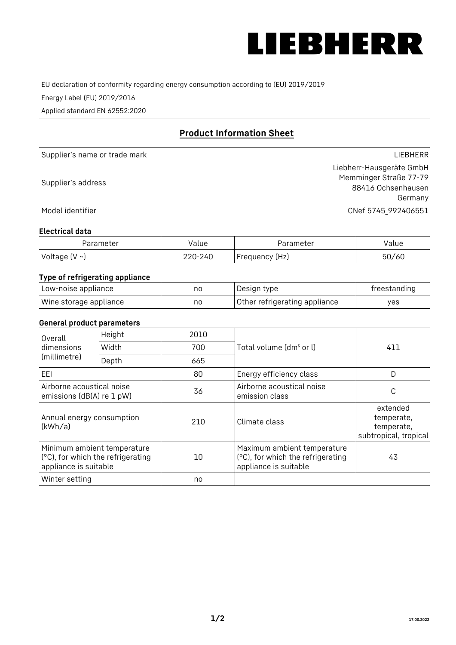

EU declaration of conformity regarding energy consumption according to (EU) 2019/2019

Energy Label (EU) 2019/2016

Applied standard EN 62552:2020

# **Product Information Sheet**

| Supplier's name or trade mark | <b>LIFBHFRR</b>          |
|-------------------------------|--------------------------|
|                               | Liebherr-Hausgeräte GmbH |
| Supplier's address            | Memminger Straße 77-79   |
|                               | 88416 Ochsenhausen       |
|                               | Germany                  |
| Model identifier              | CNef 5745 992406551      |

#### **Electrical data**

| Parameter          | Value   | Parameter       | Value |
|--------------------|---------|-----------------|-------|
| Voltage $(V \sim)$ | 220-240 | 'Frequency (Hz) | 50/60 |

# **Type of refrigerating appliance**

| Low-noise appliance    | nc | Design type                   | freestanding |
|------------------------|----|-------------------------------|--------------|
| Wine storage appliance | nc | Other refrigerating appliance | ves          |

## **General product parameters**

| Height<br>Overall                                      |                                                                  | 2010 |                                                                                           |                                                               |
|--------------------------------------------------------|------------------------------------------------------------------|------|-------------------------------------------------------------------------------------------|---------------------------------------------------------------|
| dimensions<br>(millimetre)                             | Width                                                            | 700  | Total volume (dm <sup>3</sup> or l)                                                       | 411                                                           |
|                                                        | Depth                                                            | 665  |                                                                                           |                                                               |
| EEL                                                    |                                                                  | 80   | Energy efficiency class                                                                   | D                                                             |
| Airborne acoustical noise<br>emissions (dB(A) re 1 pW) |                                                                  | 36   | Airborne acoustical noise<br>emission class                                               | С                                                             |
| Annual energy consumption<br>(kWh/a)                   |                                                                  | 210  | Climate class                                                                             | extended<br>temperate,<br>temperate,<br>subtropical, tropical |
| appliance is suitable                                  | Minimum ambient temperature<br>(°C), for which the refrigerating | 10   | Maximum ambient temperature<br>(°C), for which the refrigerating<br>appliance is suitable | 43                                                            |
| Winter setting                                         |                                                                  | no   |                                                                                           |                                                               |